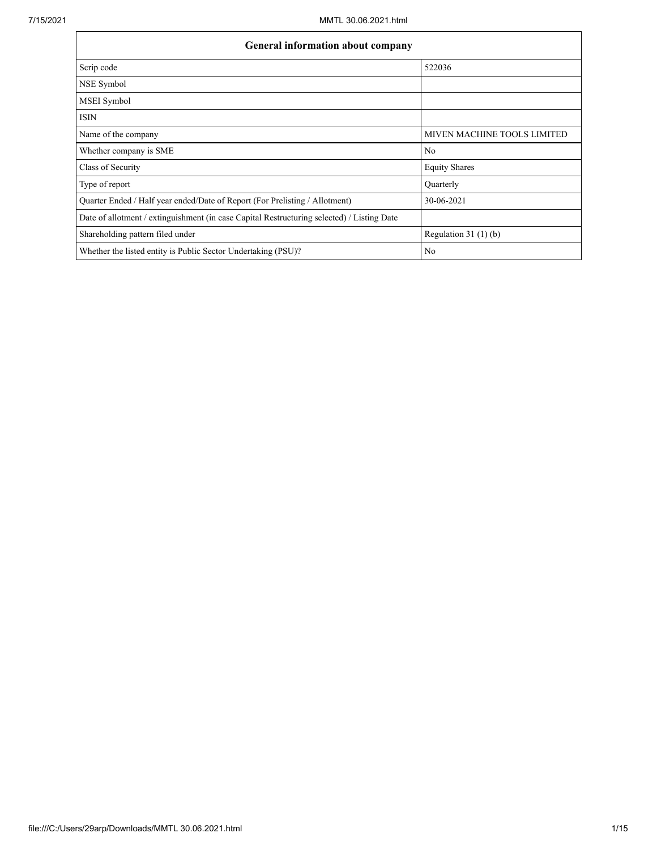| <b>General information about company</b>                                                   |                             |  |  |  |  |  |  |
|--------------------------------------------------------------------------------------------|-----------------------------|--|--|--|--|--|--|
| Scrip code                                                                                 | 522036                      |  |  |  |  |  |  |
| NSE Symbol                                                                                 |                             |  |  |  |  |  |  |
| MSEI Symbol                                                                                |                             |  |  |  |  |  |  |
| <b>ISIN</b>                                                                                |                             |  |  |  |  |  |  |
| Name of the company                                                                        | MIVEN MACHINE TOOLS LIMITED |  |  |  |  |  |  |
| Whether company is SME                                                                     | No                          |  |  |  |  |  |  |
| Class of Security                                                                          | <b>Equity Shares</b>        |  |  |  |  |  |  |
| Type of report                                                                             | Quarterly                   |  |  |  |  |  |  |
| Quarter Ended / Half year ended/Date of Report (For Prelisting / Allotment)                | 30-06-2021                  |  |  |  |  |  |  |
| Date of allotment / extinguishment (in case Capital Restructuring selected) / Listing Date |                             |  |  |  |  |  |  |
| Shareholding pattern filed under                                                           | Regulation $31(1)(b)$       |  |  |  |  |  |  |
| Whether the listed entity is Public Sector Undertaking (PSU)?                              | No                          |  |  |  |  |  |  |

٦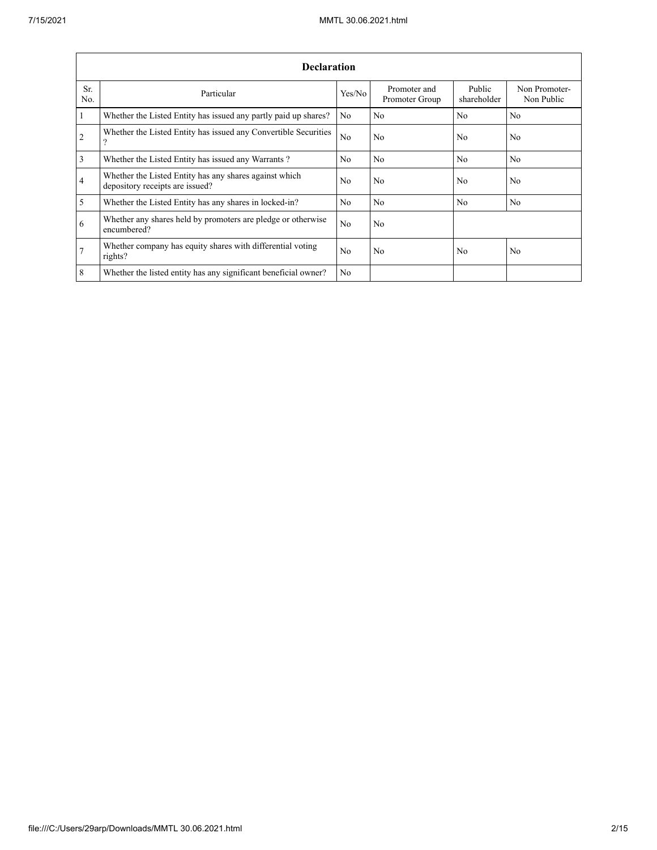|                | <b>Declaration</b>                                                                          |                |                                |                       |                             |  |  |  |  |  |  |
|----------------|---------------------------------------------------------------------------------------------|----------------|--------------------------------|-----------------------|-----------------------------|--|--|--|--|--|--|
| Sr.<br>No.     | Particular                                                                                  | Yes/No         | Promoter and<br>Promoter Group | Public<br>shareholder | Non Promoter-<br>Non Public |  |  |  |  |  |  |
| $\vert$ 1      | Whether the Listed Entity has issued any partly paid up shares?                             | No             | No                             | No                    | No                          |  |  |  |  |  |  |
| $\overline{2}$ | Whether the Listed Entity has issued any Convertible Securities<br>$\overline{\mathcal{L}}$ | N <sub>0</sub> | N <sub>0</sub>                 | No.                   | N <sub>0</sub>              |  |  |  |  |  |  |
| $\overline{3}$ | Whether the Listed Entity has issued any Warrants?                                          | No.            | No                             | N <sub>0</sub>        | N <sub>0</sub>              |  |  |  |  |  |  |
| $\overline{4}$ | Whether the Listed Entity has any shares against which<br>depository receipts are issued?   | No             | No                             | No                    | No                          |  |  |  |  |  |  |
| $\overline{5}$ | Whether the Listed Entity has any shares in locked-in?                                      | No             | No                             | No                    | No                          |  |  |  |  |  |  |
| 6              | Whether any shares held by promoters are pledge or otherwise<br>encumbered?                 | No             | No                             |                       |                             |  |  |  |  |  |  |
| $\overline{7}$ | Whether company has equity shares with differential voting<br>rights?                       | No.            | No                             | No.                   | No                          |  |  |  |  |  |  |
| 8              | Whether the listed entity has any significant beneficial owner?                             | No.            |                                |                       |                             |  |  |  |  |  |  |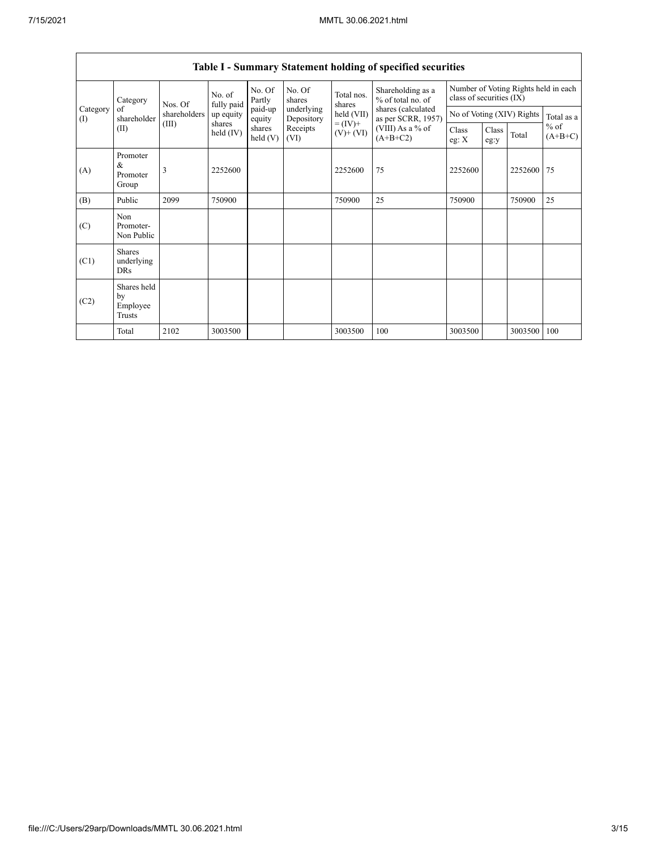| Category<br>Category<br>of<br>(I) |                                           | Nos. Of      | No. of<br>fully paid | No. Of<br>Partly     | No. Of<br>shares                                               | Total nos.<br>shares | Shareholding as a<br>% of total no. of<br>shares (calculated<br>as per SCRR, 1957) | Number of Voting Rights held in each<br>class of securities (IX) |       |                     |            |
|-----------------------------------|-------------------------------------------|--------------|----------------------|----------------------|----------------------------------------------------------------|----------------------|------------------------------------------------------------------------------------|------------------------------------------------------------------|-------|---------------------|------------|
|                                   | shareholder                               | shareholders | up equity            | paid-up<br>equity    | underlying<br>Depository                                       | held (VII)           |                                                                                    | No of Voting (XIV) Rights                                        |       |                     | Total as a |
|                                   | (II)                                      | (III)        | shares<br>held (IV)  | shares<br>held $(V)$ | $= (IV) +$<br>Receipts<br>$(V)$ + $(VI)$<br>$(A+B+C2)$<br>(VI) | (VIII) As a % of     | Class<br>eg: $X$                                                                   | Class<br>eg:y                                                    | Total | $%$ of<br>$(A+B+C)$ |            |
| (A)                               | Promoter<br>&<br>Promoter<br>Group        | 3            | 2252600              |                      |                                                                | 2252600              | 75                                                                                 | 2252600                                                          |       | 2252600             | 75         |
| (B)                               | Public                                    | 2099         | 750900               |                      |                                                                | 750900               | 25                                                                                 | 750900                                                           |       | 750900              | 25         |
| (C)                               | Non<br>Promoter-<br>Non Public            |              |                      |                      |                                                                |                      |                                                                                    |                                                                  |       |                     |            |
| (C1)                              | <b>Shares</b><br>underlying<br><b>DRs</b> |              |                      |                      |                                                                |                      |                                                                                    |                                                                  |       |                     |            |
| (C2)                              | Shares held<br>by<br>Employee<br>Trusts   |              |                      |                      |                                                                |                      |                                                                                    |                                                                  |       |                     |            |
|                                   | Total                                     | 2102         | 3003500              |                      |                                                                | 3003500              | 100                                                                                | 3003500                                                          |       | 3003500             | 100        |

## **Table I - Summary Statement holding of specified securities**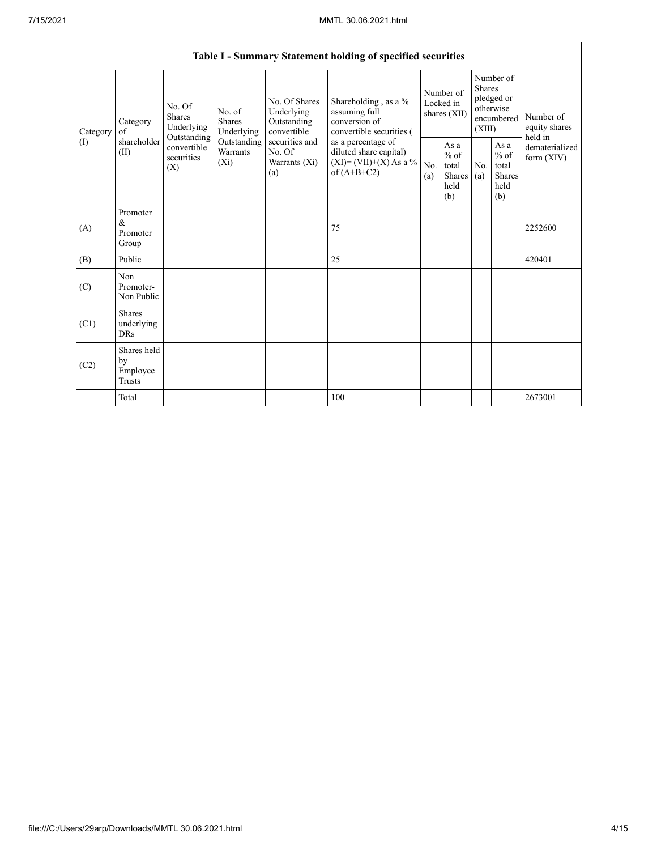|                               | Table I - Summary Statement holding of specified securities |                                                                                       |                                |                                                           |                                                                                          |                                        |                                                   |                                                                               |                                                         |                                       |  |
|-------------------------------|-------------------------------------------------------------|---------------------------------------------------------------------------------------|--------------------------------|-----------------------------------------------------------|------------------------------------------------------------------------------------------|----------------------------------------|---------------------------------------------------|-------------------------------------------------------------------------------|---------------------------------------------------------|---------------------------------------|--|
| Category<br>of<br>(1)<br>(II) | Category                                                    | No. Of<br>Shares<br>Underlying                                                        | No. of<br>Shares<br>Underlying | No. Of Shares<br>Underlying<br>Outstanding<br>convertible | Shareholding, as a %<br>assuming full<br>conversion of<br>convertible securities (       | Number of<br>Locked in<br>shares (XII) |                                                   | Number of<br><b>Shares</b><br>pledged or<br>otherwise<br>encumbered<br>(XIII) |                                                         | Number of<br>equity shares<br>held in |  |
|                               | shareholder                                                 | Outstanding<br>Outstanding<br>convertible<br>Warrants<br>securities<br>$(X_i)$<br>(X) |                                | securities and<br>No. Of<br>Warrants (Xi)<br>(a)          | as a percentage of<br>diluted share capital)<br>$(XI)=(VII)+(X) As a %$<br>of $(A+B+C2)$ | No.<br>(a)                             | As a<br>$\%$ of<br>total<br>Shares<br>held<br>(b) | No.<br>(a)                                                                    | As a<br>$%$ of<br>total<br><b>Shares</b><br>held<br>(b) | dematerialized<br>form (XIV)          |  |
| (A)                           | Promoter<br>&<br>Promoter<br>Group                          |                                                                                       |                                |                                                           | 75                                                                                       |                                        |                                                   |                                                                               |                                                         | 2252600                               |  |
| (B)                           | Public                                                      |                                                                                       |                                |                                                           | 25                                                                                       |                                        |                                                   |                                                                               |                                                         | 420401                                |  |
| (C)                           | Non<br>Promoter-<br>Non Public                              |                                                                                       |                                |                                                           |                                                                                          |                                        |                                                   |                                                                               |                                                         |                                       |  |
| (C1)                          | <b>Shares</b><br>underlying<br><b>DRs</b>                   |                                                                                       |                                |                                                           |                                                                                          |                                        |                                                   |                                                                               |                                                         |                                       |  |
| (C2)                          | Shares held<br>by<br>Employee<br>Trusts                     |                                                                                       |                                |                                                           |                                                                                          |                                        |                                                   |                                                                               |                                                         |                                       |  |
|                               | Total                                                       |                                                                                       |                                |                                                           | 100                                                                                      |                                        |                                                   |                                                                               |                                                         | 2673001                               |  |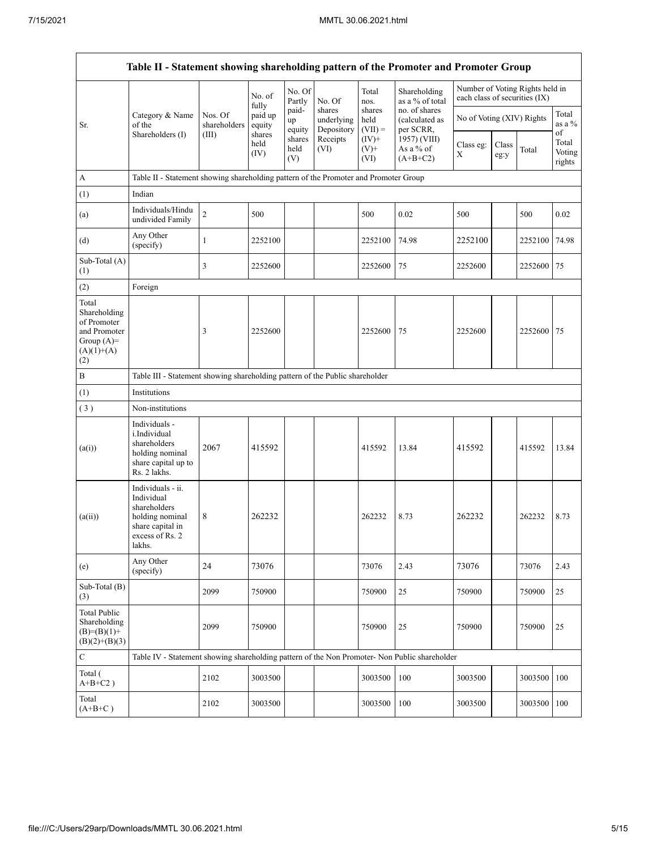|                                                                                             | Table II - Statement showing shareholding pattern of the Promoter and Promoter Group                                |                                                                                      |                        |                       |                                    |                             |                                              |                               |               |                                 |                                 |  |
|---------------------------------------------------------------------------------------------|---------------------------------------------------------------------------------------------------------------------|--------------------------------------------------------------------------------------|------------------------|-----------------------|------------------------------------|-----------------------------|----------------------------------------------|-------------------------------|---------------|---------------------------------|---------------------------------|--|
|                                                                                             |                                                                                                                     |                                                                                      | No. of<br>fully        | No. Of<br>Partly      | No. Of                             | Total<br>nos.               | Shareholding<br>as a % of total              | each class of securities (IX) |               | Number of Voting Rights held in |                                 |  |
| Sr.                                                                                         | Category & Name<br>of the                                                                                           | Nos. Of<br>shareholders                                                              | paid up<br>equity      | paid-<br>up<br>equity | shares<br>underlying<br>Depository | shares<br>held<br>$(VII) =$ | no. of shares<br>(calculated as<br>per SCRR, | No of Voting (XIV) Rights     |               |                                 | Total<br>as a $\%$              |  |
|                                                                                             | Shareholders (I)                                                                                                    | (III)                                                                                | shares<br>held<br>(IV) | shares<br>held<br>(V) | Receipts<br>(VI)                   | $(IV)+$<br>$(V)$ +<br>(VI)  | 1957) (VIII)<br>As a % of<br>$(A+B+C2)$      | Class eg:<br>X                | Class<br>eg:y | Total                           | of<br>Total<br>Voting<br>rights |  |
| $\boldsymbol{A}$                                                                            |                                                                                                                     | Table II - Statement showing shareholding pattern of the Promoter and Promoter Group |                        |                       |                                    |                             |                                              |                               |               |                                 |                                 |  |
| (1)                                                                                         | Indian                                                                                                              |                                                                                      |                        |                       |                                    |                             |                                              |                               |               |                                 |                                 |  |
| (a)                                                                                         | Individuals/Hindu<br>undivided Family                                                                               | $\sqrt{2}$                                                                           | 500                    |                       |                                    | 500                         | 0.02                                         | 500                           |               | 500                             | 0.02                            |  |
| (d)                                                                                         | Any Other<br>(specify)                                                                                              | $\mathbf{1}$                                                                         | 2252100                |                       |                                    | 2252100                     | 74.98                                        | 2252100                       |               | 2252100                         | 74.98                           |  |
| Sub-Total (A)<br>(1)                                                                        |                                                                                                                     | 3                                                                                    | 2252600                |                       |                                    | 2252600                     | 75                                           | 2252600                       |               | 2252600                         | 75                              |  |
| (2)                                                                                         | Foreign                                                                                                             |                                                                                      |                        |                       |                                    |                             |                                              |                               |               |                                 |                                 |  |
| Total<br>Shareholding<br>of Promoter<br>and Promoter<br>Group $(A)=$<br>$(A)(1)+(A)$<br>(2) |                                                                                                                     | 3                                                                                    | 2252600                |                       |                                    | 2252600                     | 75                                           | 2252600                       |               | 2252600                         | 75                              |  |
| $\, {\bf B}$                                                                                | Table III - Statement showing shareholding pattern of the Public shareholder                                        |                                                                                      |                        |                       |                                    |                             |                                              |                               |               |                                 |                                 |  |
| (1)                                                                                         | Institutions                                                                                                        |                                                                                      |                        |                       |                                    |                             |                                              |                               |               |                                 |                                 |  |
| (3)                                                                                         | Non-institutions                                                                                                    |                                                                                      |                        |                       |                                    |                             |                                              |                               |               |                                 |                                 |  |
| (a(i))                                                                                      | Individuals -<br>i.Individual<br>shareholders<br>holding nominal<br>share capital up to<br>Rs. 2 lakhs.             | 2067                                                                                 | 415592                 |                       |                                    | 415592                      | 13.84                                        | 415592                        |               | 415592                          | 13.84                           |  |
| (a(ii))                                                                                     | Individuals - ii.<br>Individual<br>shareholders<br>holding nominal<br>share capital in<br>excess of Rs. 2<br>lakhs. | 8                                                                                    | 262232                 |                       |                                    | 262232                      | 8.73                                         | 262232                        |               | 262232                          | 8.73                            |  |
| (e)                                                                                         | Any Other<br>(specify)                                                                                              | 24                                                                                   | 73076                  |                       |                                    | 73076                       | 2.43                                         | 73076                         |               | 73076                           | 2.43                            |  |
| Sub-Total (B)<br>(3)                                                                        |                                                                                                                     | 2099                                                                                 | 750900                 |                       |                                    | 750900                      | 25                                           | 750900                        |               | 750900                          | 25                              |  |
| <b>Total Public</b><br>Shareholding<br>$(B)=(B)(1)+$<br>$(B)(2)+(B)(3)$                     |                                                                                                                     | 2099                                                                                 | 750900                 |                       |                                    | 750900                      | 25                                           | 750900                        |               | 750900                          | 25                              |  |
| $\mathbf C$                                                                                 | Table IV - Statement showing shareholding pattern of the Non Promoter- Non Public shareholder                       |                                                                                      |                        |                       |                                    |                             |                                              |                               |               |                                 |                                 |  |
| Total (<br>$A+B+C2$ )                                                                       |                                                                                                                     | 2102                                                                                 | 3003500                |                       |                                    | 3003500                     | 100                                          | 3003500                       |               | 3003500                         | 100                             |  |
| Total<br>$(A+B+C)$                                                                          |                                                                                                                     | 2102                                                                                 | 3003500                |                       |                                    | 3003500                     | 100                                          | 3003500                       |               | 3003500                         | 100                             |  |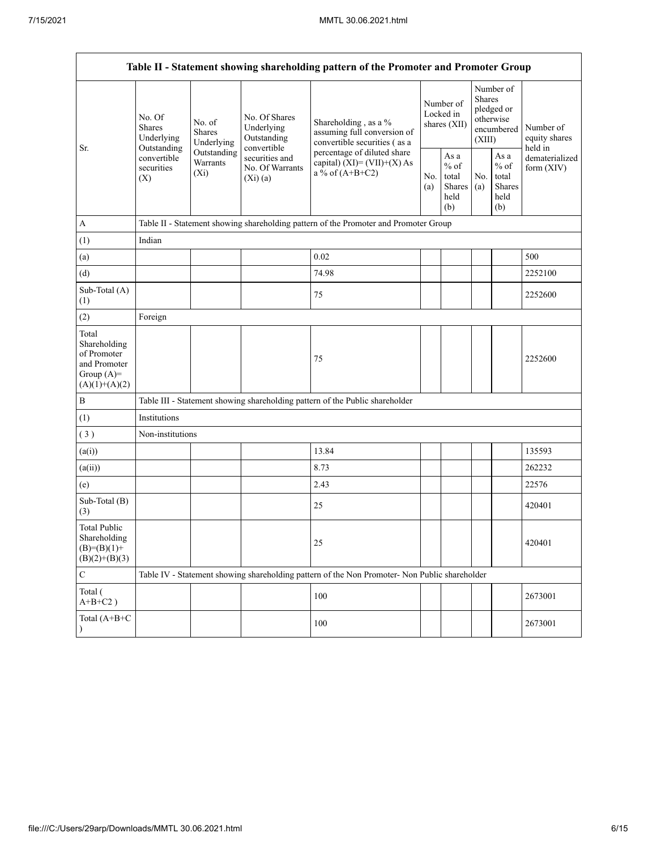|                                                                                         | Table II - Statement showing shareholding pattern of the Promoter and Promoter Group |                                                           |                                                                                     |                                                                                               |  |                                                                               |            |                                                  |                                |  |
|-----------------------------------------------------------------------------------------|--------------------------------------------------------------------------------------|-----------------------------------------------------------|-------------------------------------------------------------------------------------|-----------------------------------------------------------------------------------------------|--|-------------------------------------------------------------------------------|------------|--------------------------------------------------|--------------------------------|--|
| Sr.                                                                                     | No. Of<br>No. of<br>Shares<br>Shares<br>Underlying<br>Underlying<br>Outstanding      | No. Of Shares<br>Underlying<br>Outstanding<br>convertible | Shareholding, as a %<br>assuming full conversion of<br>convertible securities (as a | Number of<br>Locked in<br>shares (XII)                                                        |  | Number of<br><b>Shares</b><br>pledged or<br>otherwise<br>encumbered<br>(XIII) |            | Number of<br>equity shares<br>held in            |                                |  |
|                                                                                         | Outstanding<br>convertible<br>Warrants<br>securities<br>$(X_i)$<br>(X)               |                                                           | securities and<br>No. Of Warrants<br>$(Xi)$ (a)                                     | percentage of diluted share<br>capital) $(XI) = (VII)+(X) As$<br>a % of $(A+B+C2)$            |  | As a<br>$%$ of<br>total<br>Shares<br>held<br>(b)                              | No.<br>(a) | As a<br>$%$ of<br>total<br>Shares<br>held<br>(b) | dematerialized<br>form $(XIV)$ |  |
| $\boldsymbol{A}$                                                                        |                                                                                      |                                                           |                                                                                     | Table II - Statement showing shareholding pattern of the Promoter and Promoter Group          |  |                                                                               |            |                                                  |                                |  |
| (1)                                                                                     | Indian                                                                               |                                                           |                                                                                     |                                                                                               |  |                                                                               |            |                                                  |                                |  |
| (a)                                                                                     |                                                                                      |                                                           |                                                                                     | 0.02                                                                                          |  |                                                                               |            |                                                  | 500                            |  |
| (d)                                                                                     |                                                                                      |                                                           |                                                                                     | 74.98                                                                                         |  |                                                                               |            |                                                  | 2252100                        |  |
| Sub-Total (A)<br>(1)                                                                    |                                                                                      |                                                           |                                                                                     | 75                                                                                            |  |                                                                               |            |                                                  | 2252600                        |  |
| (2)                                                                                     | Foreign                                                                              |                                                           |                                                                                     |                                                                                               |  |                                                                               |            |                                                  |                                |  |
| Total<br>Shareholding<br>of Promoter<br>and Promoter<br>Group $(A)=$<br>$(A)(1)+(A)(2)$ |                                                                                      |                                                           |                                                                                     | 75                                                                                            |  |                                                                               |            |                                                  | 2252600                        |  |
| $\, {\bf B}$                                                                            |                                                                                      |                                                           |                                                                                     | Table III - Statement showing shareholding pattern of the Public shareholder                  |  |                                                                               |            |                                                  |                                |  |
| (1)                                                                                     | Institutions                                                                         |                                                           |                                                                                     |                                                                                               |  |                                                                               |            |                                                  |                                |  |
| (3)                                                                                     | Non-institutions                                                                     |                                                           |                                                                                     |                                                                                               |  |                                                                               |            |                                                  |                                |  |
| (a(i))                                                                                  |                                                                                      |                                                           |                                                                                     | 13.84                                                                                         |  |                                                                               |            |                                                  | 135593                         |  |
| (a(ii))                                                                                 |                                                                                      |                                                           |                                                                                     | 8.73                                                                                          |  |                                                                               |            |                                                  | 262232                         |  |
| (e)                                                                                     |                                                                                      |                                                           |                                                                                     | 2.43                                                                                          |  |                                                                               |            |                                                  | 22576                          |  |
| Sub-Total (B)<br>(3)                                                                    |                                                                                      |                                                           |                                                                                     | 25                                                                                            |  |                                                                               |            |                                                  | 420401                         |  |
| <b>Total Public</b><br>Shareholding<br>$(B)= (B)(1) +$<br>$(B)(2)+(B)(3)$               |                                                                                      |                                                           |                                                                                     | 25                                                                                            |  |                                                                               |            |                                                  | 420401                         |  |
| $\mathbf C$                                                                             |                                                                                      |                                                           |                                                                                     | Table IV - Statement showing shareholding pattern of the Non Promoter- Non Public shareholder |  |                                                                               |            |                                                  |                                |  |
| Total (<br>$A+B+C2$ )                                                                   |                                                                                      |                                                           |                                                                                     | 100                                                                                           |  |                                                                               |            |                                                  | 2673001                        |  |
| Total $(A+B+C)$                                                                         |                                                                                      |                                                           |                                                                                     | 100                                                                                           |  |                                                                               |            |                                                  | 2673001                        |  |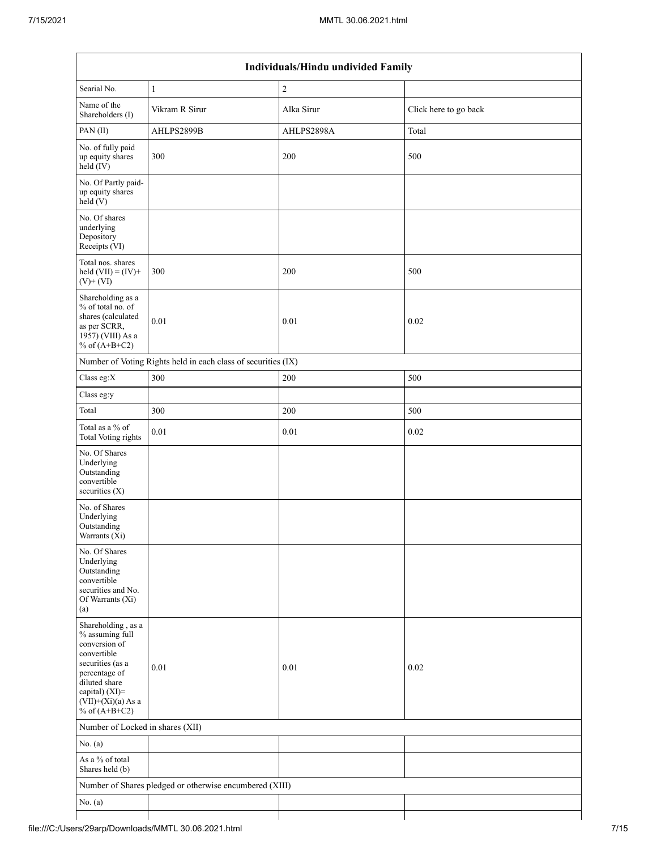| Individuals/Hindu undivided Family                                                                                                                                                       |                                                               |            |                       |  |  |  |  |  |
|------------------------------------------------------------------------------------------------------------------------------------------------------------------------------------------|---------------------------------------------------------------|------------|-----------------------|--|--|--|--|--|
| Searial No.                                                                                                                                                                              | $\mathbf{1}$                                                  | $\sqrt{2}$ |                       |  |  |  |  |  |
| Name of the<br>Shareholders (I)                                                                                                                                                          | Vikram R Sirur                                                | Alka Sirur | Click here to go back |  |  |  |  |  |
| PAN(II)                                                                                                                                                                                  | AHLPS2899B                                                    | AHLPS2898A | Total                 |  |  |  |  |  |
| No. of fully paid<br>up equity shares<br>$\text{held}(\text{IV})$                                                                                                                        | 300                                                           | 200        | 500                   |  |  |  |  |  |
| No. Of Partly paid-<br>up equity shares<br>held(V)                                                                                                                                       |                                                               |            |                       |  |  |  |  |  |
| No. Of shares<br>underlying<br>Depository<br>Receipts (VI)                                                                                                                               |                                                               |            |                       |  |  |  |  |  |
| Total nos. shares<br>held $(VII) = (IV) +$<br>$(V)$ + $(VI)$                                                                                                                             | 300                                                           | 200        | 500                   |  |  |  |  |  |
| Shareholding as a<br>% of total no. of<br>shares (calculated<br>as per SCRR,<br>1957) (VIII) As a<br>% of $(A+B+C2)$                                                                     | $0.01\,$                                                      | 0.01       | 0.02                  |  |  |  |  |  |
|                                                                                                                                                                                          | Number of Voting Rights held in each class of securities (IX) |            |                       |  |  |  |  |  |
| Class eg: $X$                                                                                                                                                                            | 300                                                           | 200        | 500                   |  |  |  |  |  |
| Class eg:y                                                                                                                                                                               |                                                               |            |                       |  |  |  |  |  |
| Total                                                                                                                                                                                    | 300                                                           | 200        | 500                   |  |  |  |  |  |
| Total as a $\%$ of<br>Total Voting rights                                                                                                                                                | 0.01                                                          | $0.01\,$   | 0.02                  |  |  |  |  |  |
| No. Of Shares<br>Underlying<br>Outstanding<br>convertible<br>securities $(X)$                                                                                                            |                                                               |            |                       |  |  |  |  |  |
| No. of Shares<br>Underlying<br>Outstanding<br>Warrants (Xi)                                                                                                                              |                                                               |            |                       |  |  |  |  |  |
| No. Of Shares<br>Underlying<br>Outstanding<br>convertible<br>securities and No.<br>Of Warrants (Xi)<br>(a)                                                                               |                                                               |            |                       |  |  |  |  |  |
| Shareholding, as a<br>% assuming full<br>conversion of<br>convertible<br>securities (as a<br>percentage of<br>diluted share<br>capital) (XI)=<br>$(VII)+(Xi)(a)$ As a<br>% of $(A+B+C2)$ | $0.01\,$                                                      | $0.01\,$   | 0.02                  |  |  |  |  |  |
| Number of Locked in shares (XII)                                                                                                                                                         |                                                               |            |                       |  |  |  |  |  |
| No. $(a)$                                                                                                                                                                                |                                                               |            |                       |  |  |  |  |  |
| As a % of total<br>Shares held (b)                                                                                                                                                       |                                                               |            |                       |  |  |  |  |  |
|                                                                                                                                                                                          | Number of Shares pledged or otherwise encumbered (XIII)       |            |                       |  |  |  |  |  |
| No. (a)                                                                                                                                                                                  |                                                               |            |                       |  |  |  |  |  |
|                                                                                                                                                                                          |                                                               |            |                       |  |  |  |  |  |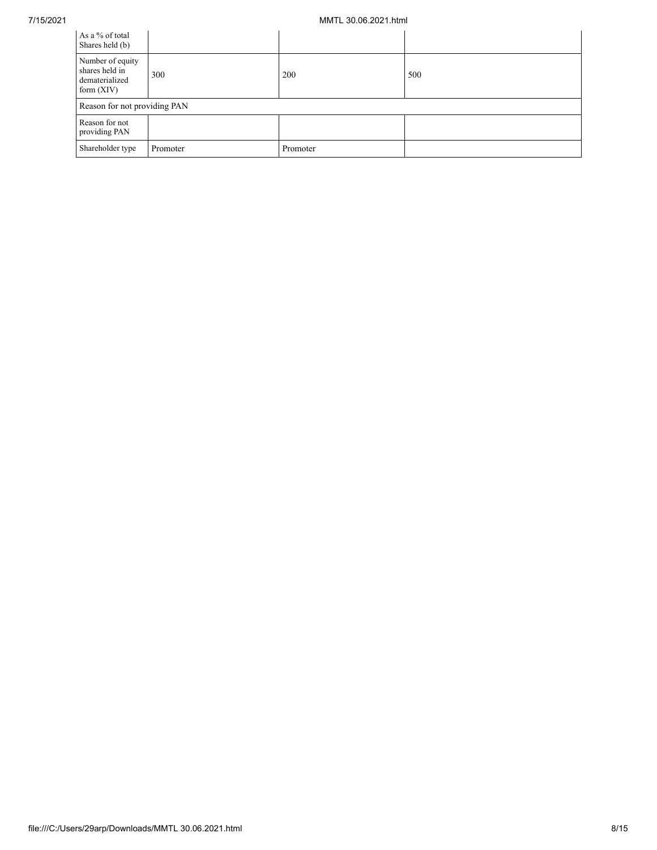## 7/15/2021 MMTL 30.06.2021.html

| As a % of total<br>Shares held (b)                                   |          |          |     |
|----------------------------------------------------------------------|----------|----------|-----|
| Number of equity<br>shares held in<br>dematerialized<br>form $(XIV)$ | 300      | 200      | 500 |
| Reason for not providing PAN                                         |          |          |     |
| Reason for not<br>providing PAN                                      |          |          |     |
| Shareholder type                                                     | Promoter | Promoter |     |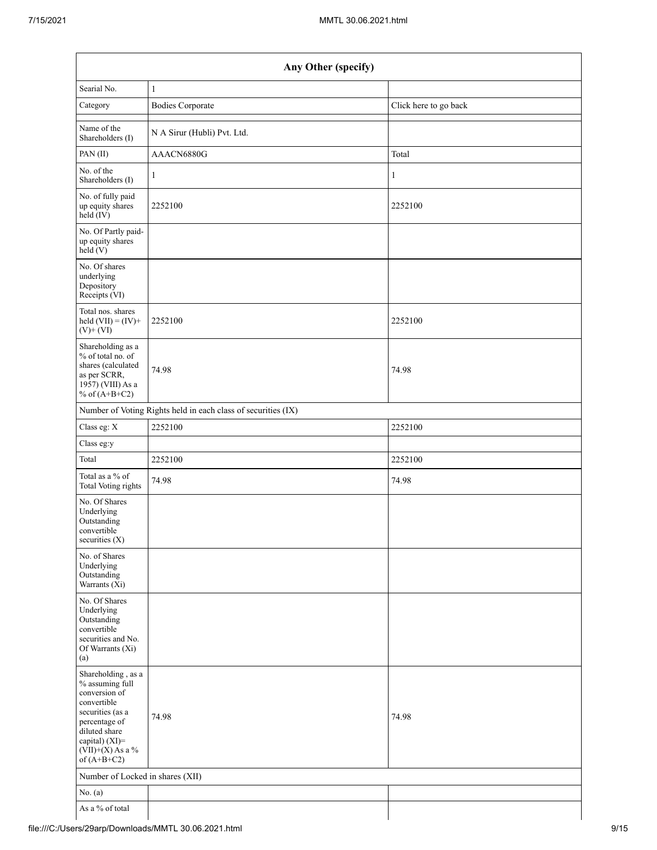|                                                                                                                                                                                      | Any Other (specify)                                           |                       |  |  |  |  |  |  |
|--------------------------------------------------------------------------------------------------------------------------------------------------------------------------------------|---------------------------------------------------------------|-----------------------|--|--|--|--|--|--|
| Searial No.                                                                                                                                                                          | $\mathbf{1}$                                                  |                       |  |  |  |  |  |  |
| Category                                                                                                                                                                             | <b>Bodies Corporate</b>                                       | Click here to go back |  |  |  |  |  |  |
| Name of the<br>Shareholders (I)                                                                                                                                                      | N A Sirur (Hubli) Pvt. Ltd.                                   |                       |  |  |  |  |  |  |
| PAN(II)                                                                                                                                                                              | AAACN6880G                                                    | Total                 |  |  |  |  |  |  |
| No. of the<br>Shareholders (I)                                                                                                                                                       | 1                                                             | $\mathbf{1}$          |  |  |  |  |  |  |
| No. of fully paid<br>up equity shares<br>held (IV)                                                                                                                                   | 2252100                                                       | 2252100               |  |  |  |  |  |  |
| No. Of Partly paid-<br>up equity shares<br>held(V)                                                                                                                                   |                                                               |                       |  |  |  |  |  |  |
| No. Of shares<br>underlying<br>Depository<br>Receipts (VI)                                                                                                                           |                                                               |                       |  |  |  |  |  |  |
| Total nos. shares<br>held $(VII) = (IV) +$<br>$(V)$ + $(VI)$                                                                                                                         | 2252100                                                       | 2252100               |  |  |  |  |  |  |
| Shareholding as a<br>% of total no. of<br>shares (calculated<br>as per SCRR,<br>1957) (VIII) As a<br>% of $(A+B+C2)$                                                                 | 74.98                                                         | 74.98                 |  |  |  |  |  |  |
|                                                                                                                                                                                      | Number of Voting Rights held in each class of securities (IX) |                       |  |  |  |  |  |  |
| Class eg: X                                                                                                                                                                          | 2252100                                                       | 2252100               |  |  |  |  |  |  |
| Class eg:y                                                                                                                                                                           |                                                               |                       |  |  |  |  |  |  |
| Total                                                                                                                                                                                | 2252100                                                       | 2252100               |  |  |  |  |  |  |
| Total as a % of<br><b>Total Voting rights</b>                                                                                                                                        | 74.98                                                         | 74.98                 |  |  |  |  |  |  |
| No. Of Shares<br>Underlying<br>Outstanding<br>convertible<br>securities $(X)$                                                                                                        |                                                               |                       |  |  |  |  |  |  |
| No. of Shares<br>Underlying<br>Outstanding<br>Warrants (Xi)                                                                                                                          |                                                               |                       |  |  |  |  |  |  |
| No. Of Shares<br>Underlying<br>Outstanding<br>convertible<br>securities and No.<br>Of Warrants (Xi)<br>(a)                                                                           |                                                               |                       |  |  |  |  |  |  |
| Shareholding, as a<br>% assuming full<br>conversion of<br>convertible<br>securities (as a<br>percentage of<br>diluted share<br>capital) (XI)=<br>$(VII)+(X)$ As a %<br>of $(A+B+C2)$ | 74.98                                                         | 74.98                 |  |  |  |  |  |  |
| Number of Locked in shares (XII)                                                                                                                                                     |                                                               |                       |  |  |  |  |  |  |
| No. $(a)$                                                                                                                                                                            |                                                               |                       |  |  |  |  |  |  |
| As a % of total                                                                                                                                                                      |                                                               |                       |  |  |  |  |  |  |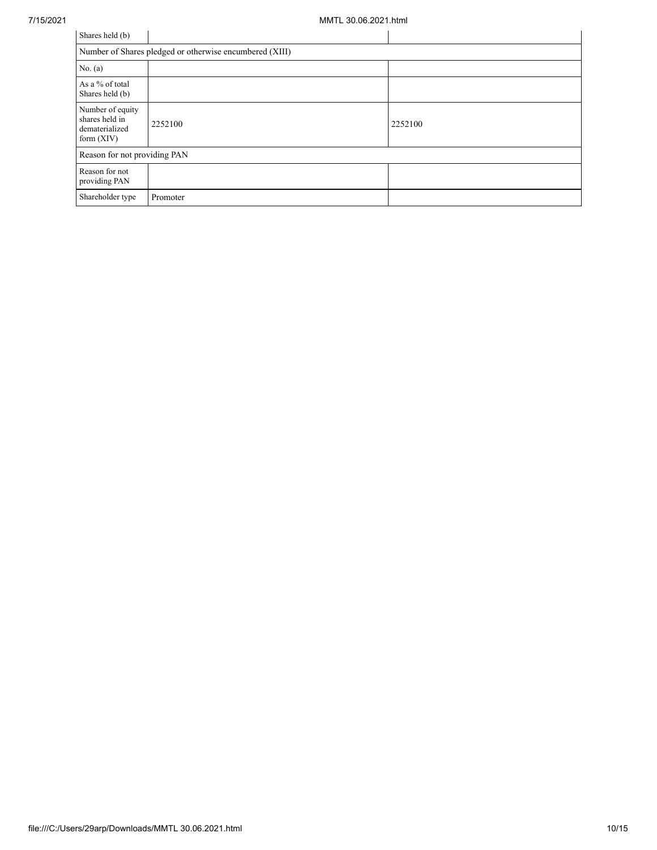| Shares held (b)                                                      |          |         |  |  |  |  |  |  |
|----------------------------------------------------------------------|----------|---------|--|--|--|--|--|--|
| Number of Shares pledged or otherwise encumbered (XIII)              |          |         |  |  |  |  |  |  |
| No. (a)                                                              |          |         |  |  |  |  |  |  |
| As a % of total<br>Shares held (b)                                   |          |         |  |  |  |  |  |  |
| Number of equity<br>shares held in<br>dematerialized<br>form $(XIV)$ | 2252100  | 2252100 |  |  |  |  |  |  |
| Reason for not providing PAN                                         |          |         |  |  |  |  |  |  |
| Reason for not<br>providing PAN                                      |          |         |  |  |  |  |  |  |
| Shareholder type                                                     | Promoter |         |  |  |  |  |  |  |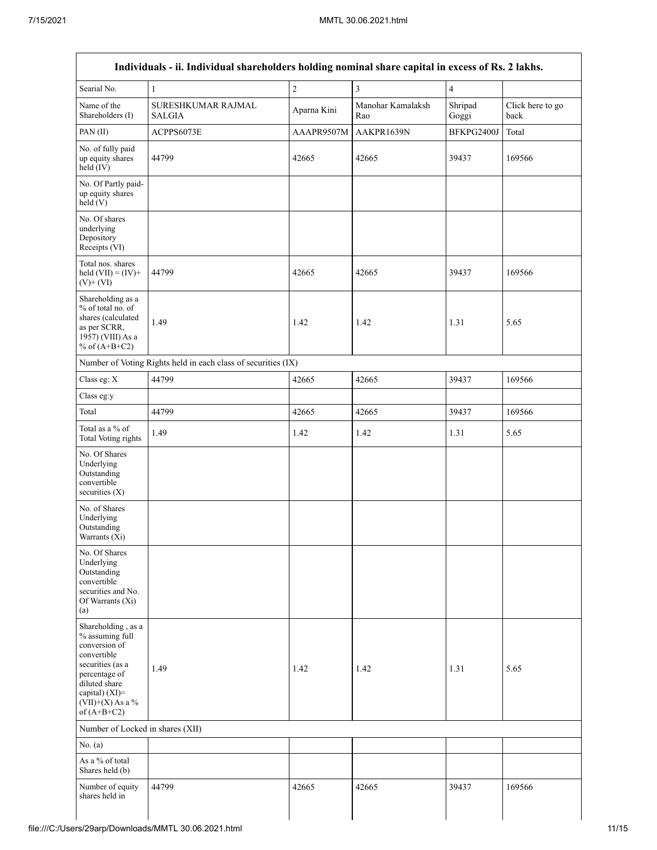|                                                                                                                                                                                         | Individuals - ii. Individual shareholders holding nominal share capital in excess of Rs. 2 lakhs. |             |                          |                  |                          |
|-----------------------------------------------------------------------------------------------------------------------------------------------------------------------------------------|---------------------------------------------------------------------------------------------------|-------------|--------------------------|------------------|--------------------------|
| Searial No.                                                                                                                                                                             | $\mathbf{1}$                                                                                      | $\sqrt{2}$  | $\mathfrak{Z}$           | $\overline{4}$   |                          |
| Name of the<br>Shareholders (I)                                                                                                                                                         | SURESHKUMAR RAJMAL<br><b>SALGIA</b>                                                               | Aparna Kini | Manohar Kamalaksh<br>Rao | Shripad<br>Goggi | Click here to go<br>back |
| PAN(II)                                                                                                                                                                                 | ACPPS6073E                                                                                        | AAAPR9507M  | AAKPR1639N               | BFKPG2400J       | Total                    |
| No. of fully paid<br>up equity shares<br>held (IV)                                                                                                                                      | 44799                                                                                             | 42665       | 42665                    | 39437            | 169566                   |
| No. Of Partly paid-<br>up equity shares<br>held(V)                                                                                                                                      |                                                                                                   |             |                          |                  |                          |
| No. Of shares<br>underlying<br>Depository<br>Receipts (VI)                                                                                                                              |                                                                                                   |             |                          |                  |                          |
| Total nos. shares<br>held $(VII) = (IV) +$<br>$(V)$ + $(VI)$                                                                                                                            | 44799                                                                                             | 42665       | 42665                    | 39437            | 169566                   |
| Shareholding as a<br>% of total no. of<br>shares (calculated<br>as per SCRR,<br>1957) (VIII) As a<br>% of $(A+B+C2)$                                                                    | 1.49                                                                                              | 1.42        | 1.42                     | 1.31             | 5.65                     |
|                                                                                                                                                                                         | Number of Voting Rights held in each class of securities (IX)                                     |             |                          |                  |                          |
| Class eg: X                                                                                                                                                                             | 44799                                                                                             | 42665       | 42665                    | 39437            | 169566                   |
| Class eg:y                                                                                                                                                                              |                                                                                                   |             |                          |                  |                          |
| Total                                                                                                                                                                                   | 44799                                                                                             | 42665       | 42665                    | 39437            | 169566                   |
| Total as a % of<br><b>Total Voting rights</b>                                                                                                                                           | 1.49                                                                                              | 1.42        | 1.42                     | 1.31             | 5.65                     |
| No. Of Shares<br>Underlying<br>Outstanding<br>convertible<br>securities $(X)$                                                                                                           |                                                                                                   |             |                          |                  |                          |
| No. of Shares<br>Underlying<br>Outstanding<br>Warrants (Xi)                                                                                                                             |                                                                                                   |             |                          |                  |                          |
| No. Of Shares<br>Underlying<br>Outstanding<br>convertible<br>securities and No.<br>Of Warrants (Xi)<br>(a)                                                                              |                                                                                                   |             |                          |                  |                          |
| Shareholding, as a<br>% assuming full<br>conversion of<br>convertible<br>securities (as a<br>percentage of<br>diluted share<br>capital) $(XI)$ =<br>$(VII)+(X)$ As a %<br>of $(A+B+C2)$ | 1.49                                                                                              | 1.42        | 1.42                     | 1.31             | 5.65                     |
| Number of Locked in shares (XII)                                                                                                                                                        |                                                                                                   |             |                          |                  |                          |
| No. $(a)$                                                                                                                                                                               |                                                                                                   |             |                          |                  |                          |
| As a % of total<br>Shares held (b)                                                                                                                                                      |                                                                                                   |             |                          |                  |                          |
| Number of equity                                                                                                                                                                        | 44799                                                                                             | 42665       | 42665                    | 39437            | 169566                   |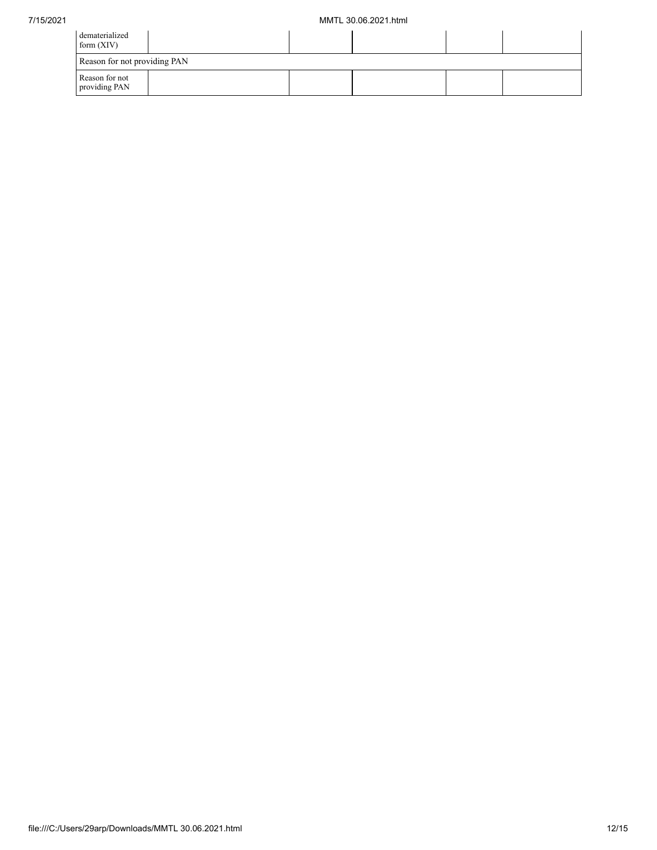| dematerialized<br>form $(XIV)$  |  |  |  |  |  |  |  |  |  |
|---------------------------------|--|--|--|--|--|--|--|--|--|
| Reason for not providing PAN    |  |  |  |  |  |  |  |  |  |
| Reason for not<br>providing PAN |  |  |  |  |  |  |  |  |  |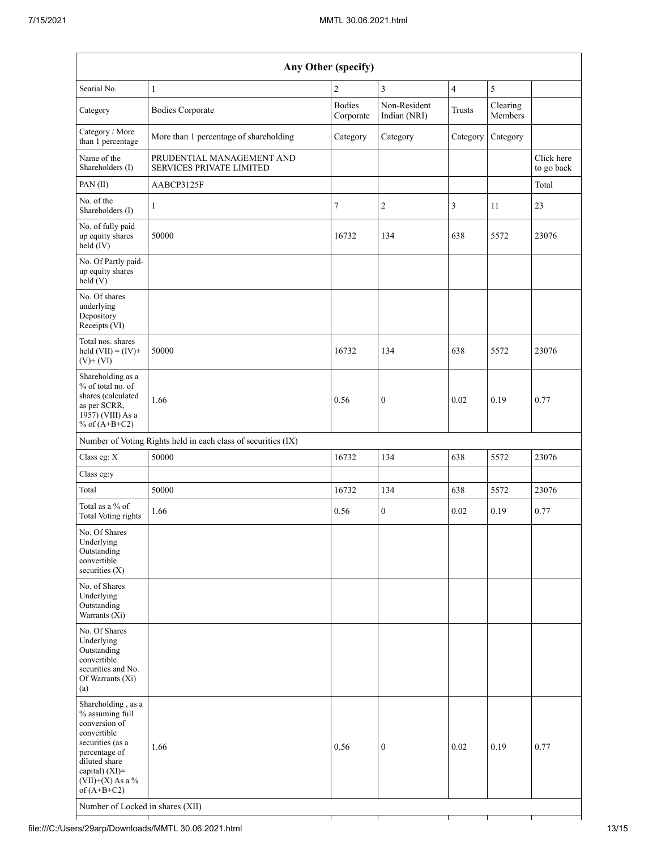| Any Other (specify)                                                                                                                                                                                                      |                                                       |                            |                              |                |                     |                          |  |  |  |  |
|--------------------------------------------------------------------------------------------------------------------------------------------------------------------------------------------------------------------------|-------------------------------------------------------|----------------------------|------------------------------|----------------|---------------------|--------------------------|--|--|--|--|
| Searial No.                                                                                                                                                                                                              | $\mathbf{1}$                                          | $\overline{2}$             | 3                            | $\overline{4}$ | 5                   |                          |  |  |  |  |
| Category                                                                                                                                                                                                                 | <b>Bodies Corporate</b>                               | <b>Bodies</b><br>Corporate | Non-Resident<br>Indian (NRI) | Trusts         | Clearing<br>Members |                          |  |  |  |  |
| Category / More<br>than 1 percentage                                                                                                                                                                                     | More than 1 percentage of shareholding                | Category                   | Category                     | Category       | Category            |                          |  |  |  |  |
| Name of the<br>Shareholders (I)                                                                                                                                                                                          | PRUDENTIAL MANAGEMENT AND<br>SERVICES PRIVATE LIMITED |                            |                              |                |                     | Click here<br>to go back |  |  |  |  |
| PAN (II)                                                                                                                                                                                                                 | AABCP3125F                                            |                            |                              |                |                     | Total                    |  |  |  |  |
| No. of the<br>Shareholders (I)                                                                                                                                                                                           | 1                                                     | 7                          | $\overline{2}$               | 3              | 11                  | 23                       |  |  |  |  |
| No. of fully paid<br>up equity shares<br>held (IV)                                                                                                                                                                       | 50000                                                 | 16732                      | 134                          | 638            | 5572                | 23076                    |  |  |  |  |
| No. Of Partly paid-<br>up equity shares<br>held(V)                                                                                                                                                                       |                                                       |                            |                              |                |                     |                          |  |  |  |  |
| No. Of shares<br>underlying<br>Depository<br>Receipts (VI)                                                                                                                                                               |                                                       |                            |                              |                |                     |                          |  |  |  |  |
| Total nos. shares<br>held $(VII) = (IV) +$<br>$(V)$ + $(VI)$                                                                                                                                                             | 50000                                                 | 16732                      | 134                          | 638            | 5572                | 23076                    |  |  |  |  |
| Shareholding as a<br>% of total no. of<br>shares (calculated<br>as per SCRR,<br>1957) (VIII) As a<br>% of $(A+B+C2)$                                                                                                     | 1.66                                                  | 0.56                       | $\boldsymbol{0}$             | 0.02           | 0.19                | 0.77                     |  |  |  |  |
| Number of Voting Rights held in each class of securities (IX)                                                                                                                                                            |                                                       |                            |                              |                |                     |                          |  |  |  |  |
| Class eg: X                                                                                                                                                                                                              | 50000                                                 | 16732                      | 134                          | 638            | 5572                | 23076                    |  |  |  |  |
| Class eg:y                                                                                                                                                                                                               |                                                       |                            |                              |                |                     |                          |  |  |  |  |
| Total                                                                                                                                                                                                                    | 50000                                                 | 16732                      | 134                          | 638            | 5572                | 23076                    |  |  |  |  |
| Total as a $\%$ of<br>Total Voting rights                                                                                                                                                                                | 1.66                                                  | 0.56                       | $\boldsymbol{0}$             | 0.02           | 0.19                | 0.77                     |  |  |  |  |
| No. Of Shares<br>Underlying<br>Outstanding<br>convertible<br>securities $(X)$                                                                                                                                            |                                                       |                            |                              |                |                     |                          |  |  |  |  |
| No. of Shares<br>Underlying<br>Outstanding<br>Warrants (Xi)                                                                                                                                                              |                                                       |                            |                              |                |                     |                          |  |  |  |  |
| No. Of Shares<br>Underlying<br>Outstanding<br>convertible<br>securities and No.<br>Of Warrants (Xi)<br>(a)                                                                                                               |                                                       |                            |                              |                |                     |                          |  |  |  |  |
| Shareholding, as a<br>% assuming full<br>conversion of<br>convertible<br>securities (as a<br>percentage of<br>diluted share<br>capital) (XI)=<br>$(VII)+(X)$ As a %<br>of $(A+B+C2)$<br>Number of Locked in shares (XII) | 1.66                                                  | 0.56                       | $\mathbf{0}$                 | 0.02           | 0.19                | 0.77                     |  |  |  |  |

 $\top$ 

T

т

┯

T

┯

┪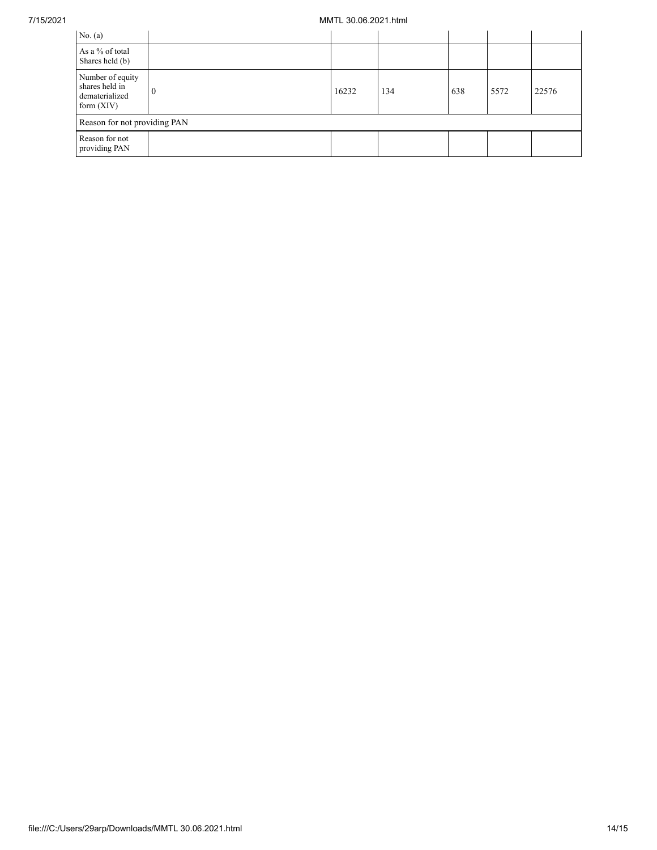## 7/15/2021 MMTL 30.06.2021.html

| No. $(a)$                                                            |          |       |     |     |      |       |  |  |  |  |
|----------------------------------------------------------------------|----------|-------|-----|-----|------|-------|--|--|--|--|
| As a % of total<br>Shares held (b)                                   |          |       |     |     |      |       |  |  |  |  |
| Number of equity<br>shares held in<br>dematerialized<br>form $(XIV)$ | $\left($ | 16232 | 134 | 638 | 5572 | 22576 |  |  |  |  |
| Reason for not providing PAN                                         |          |       |     |     |      |       |  |  |  |  |
| Reason for not<br>providing PAN                                      |          |       |     |     |      |       |  |  |  |  |